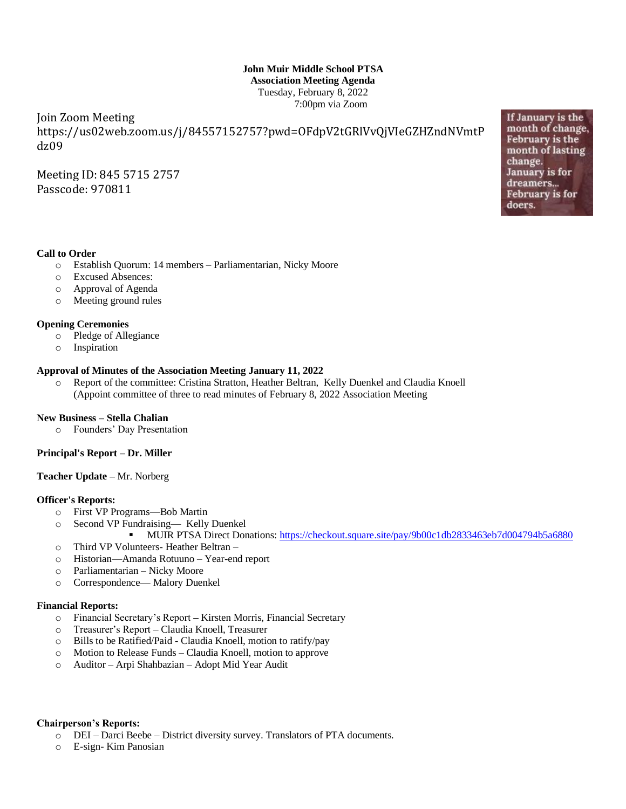# **John Muir Middle School PTSA Association Meeting Agenda** Tuesday, February 8, 2022 7:00pm via Zoom

Join Zoom Meeting https://us02web.zoom.us/j/84557152757?pwd=OFdpV2tGRlVvQjVIeGZHZndNVmtP dz09

Meeting ID: 845 5715 2757 Passcode: 970811

**Call to Order**

- o Establish Quorum: 14 members Parliamentarian, Nicky Moore
- o Excused Absences:
- o Approval of Agenda
- o Meeting ground rules

### **Opening Ceremonies**

- o Pledge of Allegiance
- o Inspiration

## **Approval of Minutes of the Association Meeting January 11, 2022**

o Report of the committee: Cristina Stratton, Heather Beltran, Kelly Duenkel and Claudia Knoell (Appoint committee of three to read minutes of February 8, 2022 Association Meeting

#### **New Business – Stella Chalian**

o Founders' Day Presentation

## **Principal's Report – Dr. Miller**

#### **Teacher Update –** Mr. Norberg

#### **Officer's Reports:**

- o First VP Programs—Bob Martin
- o Second VP Fundraising— Kelly Duenkel
- MUIR PTSA Direct Donations[: https://checkout.square.site/pay/9b00c1db2833463eb7d004794b5a6880](https://checkout.square.site/pay/9b00c1db2833463eb7d004794b5a6880) o Third VP Volunteers- Heather Beltran –
- o Historian—Amanda Rotuuno Year-end report
- o Parliamentarian Nicky Moore
- o Correspondence— Malory Duenkel

## **Financial Reports:**

- o Financial Secretary's Report **–** Kirsten Morris, Financial Secretary
- o Treasurer's Report Claudia Knoell, Treasurer
- o Bills to be Ratified/Paid Claudia Knoell, motion to ratify/pay
- o Motion to Release Funds Claudia Knoell, motion to approve
- o Auditor Arpi Shahbazian Adopt Mid Year Audit

#### **Chairperson's Reports:**

- o DEI Darci Beebe District diversity survey. Translators of PTA documents.
- o E-sign- Kim Panosian

If January is the month of change, February is the month of lasting change. January is for dreamers... **February** is for doers.